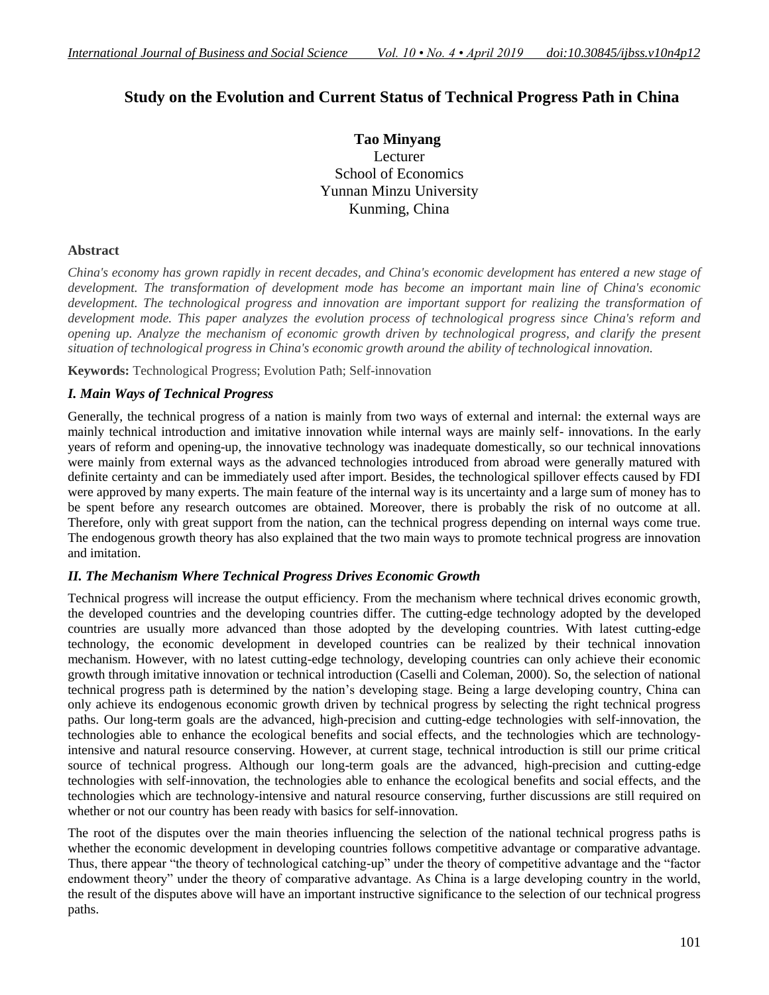# **Study on the Evolution and Current Status of Technical Progress Path in China**

**Tao Minyang** Lecturer School of Economics Yunnan Minzu University Kunming, China

## **Abstract**

*China's economy has grown rapidly in recent decades, and China's economic development has entered a new stage of development. The transformation of development mode has become an important main line of China's economic development. The technological progress and innovation are important support for realizing the transformation of development mode. This paper analyzes the evolution process of technological progress since China's reform and opening up. Analyze the mechanism of economic growth driven by technological progress, and clarify the present situation of technological progress in China's economic growth around the ability of technological innovation.*

**Keywords:** Technological Progress; Evolution Path; Self-innovation

## *I. Main Ways of Technical Progress*

Generally, the technical progress of a nation is mainly from two ways of external and internal: the external ways are mainly technical introduction and imitative innovation while internal ways are mainly self- innovations. In the early years of reform and opening-up, the innovative technology was inadequate domestically, so our technical innovations were mainly from external ways as the advanced technologies introduced from abroad were generally matured with definite certainty and can be immediately used after import. Besides, the technological spillover effects caused by FDI were approved by many experts. The main feature of the internal way is its uncertainty and a large sum of money has to be spent before any research outcomes are obtained. Moreover, there is probably the risk of no outcome at all. Therefore, only with great support from the nation, can the technical progress depending on internal ways come true. The endogenous growth theory has also explained that the two main ways to promote technical progress are innovation and imitation.

## *II. The Mechanism Where Technical Progress Drives Economic Growth*

Technical progress will increase the output efficiency. From the mechanism where technical drives economic growth, the developed countries and the developing countries differ. The cutting-edge technology adopted by the developed countries are usually more advanced than those adopted by the developing countries. With latest cutting-edge technology, the economic development in developed countries can be realized by their technical innovation mechanism. However, with no latest cutting-edge technology, developing countries can only achieve their economic growth through imitative innovation or technical introduction (Caselli and Coleman, 2000). So, the selection of national technical progress path is determined by the nation's developing stage. Being a large developing country, China can only achieve its endogenous economic growth driven by technical progress by selecting the right technical progress paths. Our long-term goals are the advanced, high-precision and cutting-edge technologies with self-innovation, the technologies able to enhance the ecological benefits and social effects, and the technologies which are technologyintensive and natural resource conserving. However, at current stage, technical introduction is still our prime critical source of technical progress. Although our long-term goals are the advanced, high-precision and cutting-edge technologies with self-innovation, the technologies able to enhance the ecological benefits and social effects, and the technologies which are technology-intensive and natural resource conserving, further discussions are still required on whether or not our country has been ready with basics for self-innovation.

The root of the disputes over the main theories influencing the selection of the national technical progress paths is whether the economic development in developing countries follows competitive advantage or comparative advantage. Thus, there appear "the theory of technological catching-up" under the theory of competitive advantage and the "factor endowment theory" under the theory of comparative advantage. As China is a large developing country in the world, the result of the disputes above will have an important instructive significance to the selection of our technical progress paths.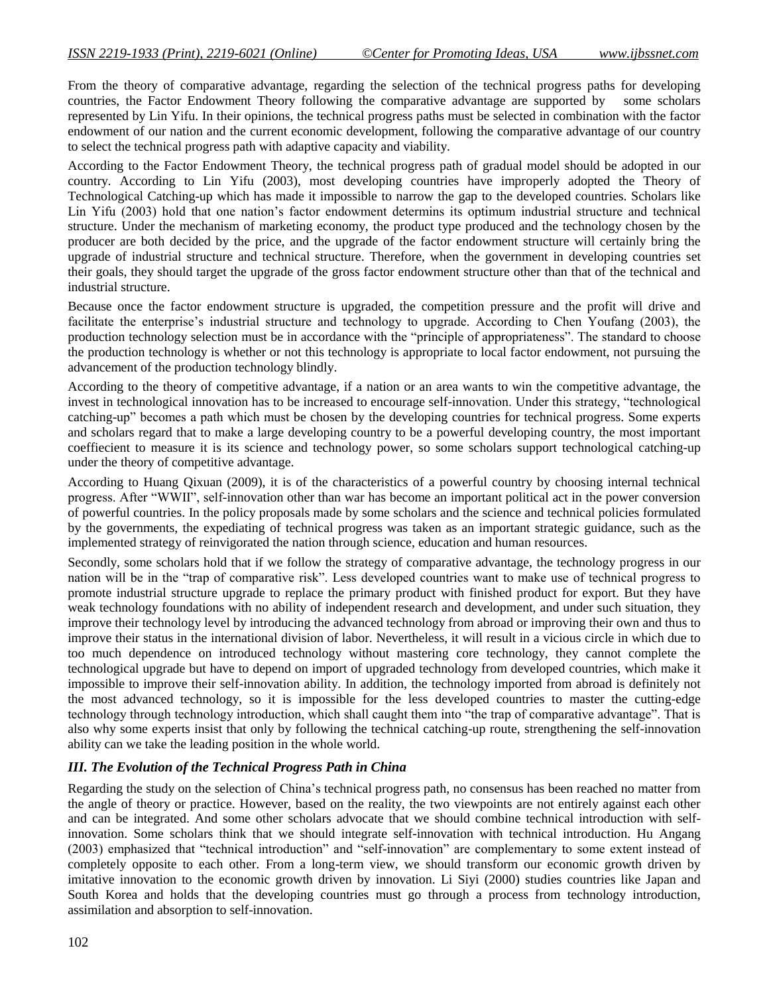From the theory of comparative advantage, regarding the selection of the technical progress paths for developing countries, the Factor Endowment Theory following the comparative advantage are supported by some scholars represented by Lin Yifu. In their opinions, the technical progress paths must be selected in combination with the factor endowment of our nation and the current economic development, following the comparative advantage of our country to select the technical progress path with adaptive capacity and viability.

According to the Factor Endowment Theory, the technical progress path of gradual model should be adopted in our country. According to Lin Yifu (2003), most developing countries have improperly adopted the Theory of Technological Catching-up which has made it impossible to narrow the gap to the developed countries. Scholars like Lin Yifu (2003) hold that one nation's factor endowment determins its optimum industrial structure and technical structure. Under the mechanism of marketing economy, the product type produced and the technology chosen by the producer are both decided by the price, and the upgrade of the factor endowment structure will certainly bring the upgrade of industrial structure and technical structure. Therefore, when the government in developing countries set their goals, they should target the upgrade of the gross factor endowment structure other than that of the technical and industrial structure.

Because once the factor endowment structure is upgraded, the competition pressure and the profit will drive and facilitate the enterprise's industrial structure and technology to upgrade. According to Chen Youfang (2003), the production technology selection must be in accordance with the "principle of appropriateness". The standard to choose the production technology is whether or not this technology is appropriate to local factor endowment, not pursuing the advancement of the production technology blindly.

According to the theory of competitive advantage, if a nation or an area wants to win the competitive advantage, the invest in technological innovation has to be increased to encourage self-innovation. Under this strategy, "technological catching-up" becomes a path which must be chosen by the developing countries for technical progress. Some experts and scholars regard that to make a large developing country to be a powerful developing country, the most important coeffiecient to measure it is its science and technology power, so some scholars support technological catching-up under the theory of competitive advantage.

According to Huang Qixuan (2009), it is of the characteristics of a powerful country by choosing internal technical progress. After "WWII", self-innovation other than war has become an important political act in the power conversion of powerful countries. In the policy proposals made by some scholars and the science and technical policies formulated by the governments, the expediating of technical progress was taken as an important strategic guidance, such as the implemented strategy of reinvigorated the nation through science, education and human resources.

Secondly, some scholars hold that if we follow the strategy of comparative advantage, the technology progress in our nation will be in the "trap of comparative risk". Less developed countries want to make use of technical progress to promote industrial structure upgrade to replace the primary product with finished product for export. But they have weak technology foundations with no ability of independent research and development, and under such situation, they improve their technology level by introducing the advanced technology from abroad or improving their own and thus to improve their status in the international division of labor. Nevertheless, it will result in a vicious circle in which due to too much dependence on introduced technology without mastering core technology, they cannot complete the technological upgrade but have to depend on import of upgraded technology from developed countries, which make it impossible to improve their self-innovation ability. In addition, the technology imported from abroad is definitely not the most advanced technology, so it is impossible for the less developed countries to master the cutting-edge technology through technology introduction, which shall caught them into "the trap of comparative advantage". That is also why some experts insist that only by following the technical catching-up route, strengthening the self-innovation ability can we take the leading position in the whole world.

## *III. The Evolution of the Technical Progress Path in China*

Regarding the study on the selection of China's technical progress path, no consensus has been reached no matter from the angle of theory or practice. However, based on the reality, the two viewpoints are not entirely against each other and can be integrated. And some other scholars advocate that we should combine technical introduction with selfinnovation. Some scholars think that we should integrate self-innovation with technical introduction. Hu Angang (2003) emphasized that "technical introduction" and "self-innovation" are complementary to some extent instead of completely opposite to each other. From a long-term view, we should transform our economic growth driven by imitative innovation to the economic growth driven by innovation. Li Siyi (2000) studies countries like Japan and South Korea and holds that the developing countries must go through a process from technology introduction, assimilation and absorption to self-innovation.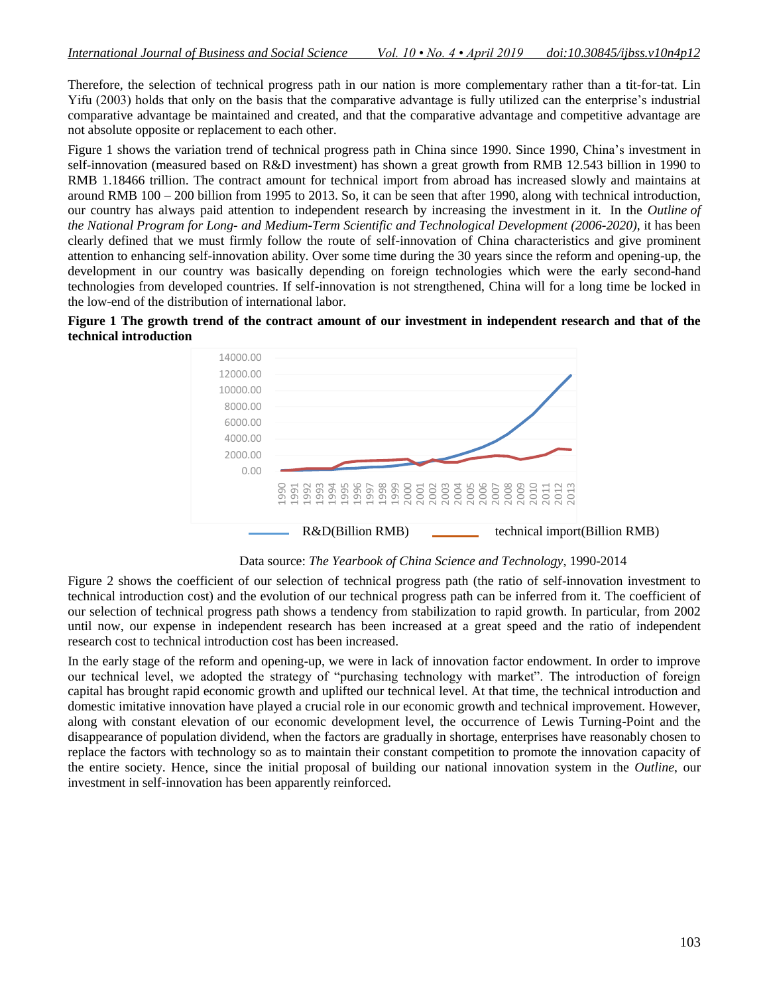Therefore, the selection of technical progress path in our nation is more complementary rather than a tit-for-tat. Lin Yifu (2003) holds that only on the basis that the comparative advantage is fully utilized can the enterprise's industrial comparative advantage be maintained and created, and that the comparative advantage and competitive advantage are not absolute opposite or replacement to each other.

Figure 1 shows the variation trend of technical progress path in China since 1990. Since 1990, China's investment in self-innovation (measured based on R&D investment) has shown a great growth from RMB 12.543 billion in 1990 to RMB 1.18466 trillion. The contract amount for technical import from abroad has increased slowly and maintains at around RMB 100 – 200 billion from 1995 to 2013. So, it can be seen that after 1990, along with technical introduction, our country has always paid attention to independent research by increasing the investment in it. In the *Outline of the National Program for Long- and Medium-Term Scientific and Technological Development (2006-2020)*, it has been clearly defined that we must firmly follow the route of self-innovation of China characteristics and give prominent attention to enhancing self-innovation ability. Over some time during the 30 years since the reform and opening-up, the development in our country was basically depending on foreign technologies which were the early second-hand technologies from developed countries. If self-innovation is not strengthened, China will for a long time be locked in the low-end of the distribution of international labor.





Data source: *The Yearbook of China Science and Technology*, 1990-2014

Figure 2 shows the coefficient of our selection of technical progress path (the ratio of self-innovation investment to technical introduction cost) and the evolution of our technical progress path can be inferred from it. The coefficient of our selection of technical progress path shows a tendency from stabilization to rapid growth. In particular, from 2002 until now, our expense in independent research has been increased at a great speed and the ratio of independent research cost to technical introduction cost has been increased.

In the early stage of the reform and opening-up, we were in lack of innovation factor endowment. In order to improve our technical level, we adopted the strategy of "purchasing technology with market". The introduction of foreign capital has brought rapid economic growth and uplifted our technical level. At that time, the technical introduction and domestic imitative innovation have played a crucial role in our economic growth and technical improvement. However, along with constant elevation of our economic development level, the occurrence of Lewis Turning-Point and the disappearance of population dividend, when the factors are gradually in shortage, enterprises have reasonably chosen to replace the factors with technology so as to maintain their constant competition to promote the innovation capacity of the entire society. Hence, since the initial proposal of building our national innovation system in the *Outline*, our investment in self-innovation has been apparently reinforced.